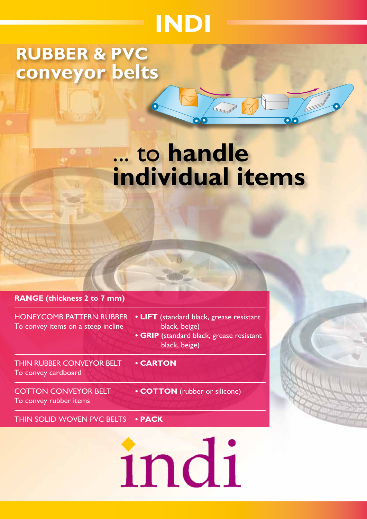# **INDI**

## **RUBBER & PVC conveyor belts**

## ... to **handle individual items**

#### **RANGE (thickness 2 to 7 mm)**

To convey items on a steep incline black, beige)

THIN RUBBER CONVEYOR BELT **• CARTON** To convey cardboard

To convey rubber items

- HONEYCOMB PATTERN RUBBER  **LIFT** (standard black, grease resistant **• GRIP** (standard black, grease resistant
	- black, beige)

COTTON CONVEYOR BELT **• COTTON** (rubber or silicone)

THIN SOLID WOVEN PVC BELTS **• PACK**

indi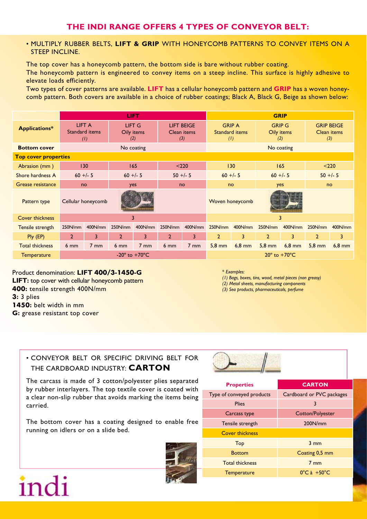#### • Multiply rubber belts, **LIFT & GRIP** with honeycomb patterns to convey items on a steep incline.

The top cover has a honeycomb pattern, the bottom side is bare without rubber coating. The honeycomb pattern is engineered to convey items on a steep incline. This surface is highly adhesive to elevate loads efficiently.

Two types of cover patterns are available. **LIFT** has a cellular honeycomb pattern and **GRIP** has a woven honeycomb pattern. Both covers are available in a choice of rubber coatings; Black A, Black G, Beige as shown below:

|                             | <b>LIFT</b>                        |                    |                             |                |                 | <b>GRIP</b>                             |                  |                                        |                                    |          |                                         |          |
|-----------------------------|------------------------------------|--------------------|-----------------------------|----------------|-----------------|-----------------------------------------|------------------|----------------------------------------|------------------------------------|----------|-----------------------------------------|----------|
| <b>Applications*</b>        | <b>LIFT A</b><br>Standard items    | (1)                | LIFT G<br>Oily items<br>(2) |                |                 | <b>LIFT BEIGE</b><br>Clean items<br>(3) | (1)              | <b>GRIP A</b><br><b>Standard items</b> | <b>GRIP G</b><br>Oily items<br>(2) |          | <b>GRIP BEIGE</b><br>Clean items<br>(3) |          |
| <b>Bottom cover</b>         | No coating                         |                    |                             |                |                 | No coating                              |                  |                                        |                                    |          |                                         |          |
| <b>Top cover properties</b> |                                    |                    |                             |                |                 |                                         |                  |                                        |                                    |          |                                         |          |
| Abrasion (mm <sup>3</sup> ) | 130                                |                    | 165                         |                | < 220           |                                         | 130              |                                        | 165                                |          | < 220                                   |          |
| Shore hardness A            | $60 +/- 5$                         |                    | $60 +/- 5$                  |                | $50 +/- 5$      |                                         | $60 +/- 5$       |                                        | $60 +/- 5$                         |          | $50 +/- 5$                              |          |
| Grease resistance           | no                                 |                    | yes                         |                | no              |                                         | no               |                                        | yes                                |          | no                                      |          |
| Pattern type                |                                    | Cellular honeycomb |                             |                |                 |                                         | Woven honeycomb  |                                        |                                    |          |                                         |          |
| <b>Cover thickness</b>      | 3                                  |                    |                             |                |                 | 3                                       |                  |                                        |                                    |          |                                         |          |
| Tensile strength            | 250N/mm                            | 400N/mm            | 250N/mm                     | 400N/mm        | 250N/mm         | 400N/mm                                 | 250N/mm          | 400N/mm                                | 250N/mm                            | 400N/mm  | 250N/mm                                 | 400N/mm  |
| $Ply$ (EP)                  | $\overline{2}$                     | 3                  | $\overline{2}$              | 3              | $\overline{2}$  | 3                                       | $\overline{2}$   | 3                                      | $\overline{2}$                     | 3        | $\overline{2}$                          | 3        |
| <b>Total thickness</b>      | $6 \text{ mm}$                     | $7 \text{ mm}$     | $6 \text{ mm}$              | $7 \text{ mm}$ | 6 <sub>mm</sub> | $7 \text{ mm}$                          | $5,8 \text{ mm}$ | $6,8$ mm                               | $5,8 \text{ mm}$                   | $6,8$ mm | $5,8$ mm                                | $6,8$ mm |
| Temperature                 | -20 $^{\circ}$ to +70 $^{\circ}$ C |                    |                             |                |                 | $20^\circ$ to $+70^\circ$ C             |                  |                                        |                                    |          |                                         |          |

Product denomination: **LIFT 400/3-1450-G LIFT:** top cover with cellular honeycomb pattern **400:** tensile strength 400N/mm **3:** 3 plies **1450:** belt width in mm **G:** grease resistant top cover

\* *Examples:*

*(1) Bags, boxes, tins, wood, metal pieces (non greasy)*

*(2) Metal sheets, manufacturing components* 

*(3) Sea products, pharmaceuticals, perfume*

#### • CONVEYOR BELT OR SPECIFIC DRIVING BELT FOR THE CARDBOARD INDUSTRY: **CARTON**

The carcass is made of 3 cotton/polyester plies separated by rubber interlayers. The top textile cover is coated with a clear non-slip rubber that avoids marking the items being carried.

The bottom cover has a coating designed to enable free running on idlers or on a slide bed.



# $inc$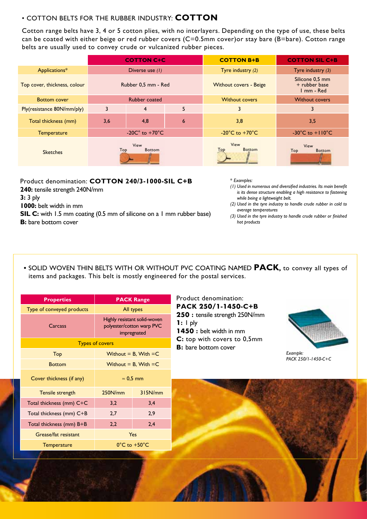#### • COTTON BELTS FOR THE RUBBER INDUSTRY: **COTTON**

Cotton range belts have 3, 4 or 5 cotton plies, with no interlayers. Depending on the type of use, these belts can be coated with either beige or red rubber covers (C=0.5mm cover)or stay bare (B=bare). Cotton range belts are usually used to convey crude or vulcanized rubber pieces.

|                              | <b>COTTON C+C</b>                  |                |                 | <b>COTTON B+B</b>                    | <b>COTTON SIL C+B</b>                          |  |  |
|------------------------------|------------------------------------|----------------|-----------------|--------------------------------------|------------------------------------------------|--|--|
| Applications*                | Diverse use (1)                    |                |                 | Tyre industry (2)                    | Tyre industry $(3)$                            |  |  |
| Top cover, thickness, colour | Rubber 0.5 mm - Red                |                |                 | <b>Without covers - Beige</b>        | Silicone 0,5 mm<br>+ rubber base<br>1 mm - Red |  |  |
| <b>Bottom cover</b>          | <b>Rubber coated</b>               |                |                 | <b>Without covers</b>                | <b>Without covers</b>                          |  |  |
| Ply(resistance 80N/mm/ply)   | 3                                  | $\overline{4}$ | 5               | 3                                    | 3                                              |  |  |
| Total thickness (mm)         | 3,6                                | 4,8            | $6\phantom{1}6$ | 3,8                                  | 3,5                                            |  |  |
| Temperature                  | -20 $C^{\circ}$ to +70 $^{\circ}C$ |                |                 | -20 $^{\circ}$ C to +70 $^{\circ}$ C | $-30^{\circ}$ C to $+110^{\circ}$ C            |  |  |
| <b>Sketches</b>              | View<br>Top<br><b>Bottom</b>       |                |                 | View<br>Top<br><b>Bottom</b>         | View<br><b>Top</b><br><b>Bottom</b>            |  |  |

Product denomination: **COTTON 240/3-1000-SIL C+B 240:** tensile strength 240N/mm **3:** 3 ply **1000:** belt width in mm **SIL C:** with 1.5 mm coating (0.5 mm of silicone on a 1 mm rubber base) **B**: bare bottom cover

\* *Examples:*

- *(1) Used in numerous and diversified industries. Its main benefit is its dense structure enabling a high resistance to fastening while being a lightweight belt.*
- *(2) Used in the tyre industry to handle crude rubber in cold to average temperatures*
- *(3) Used in the tyre industry to handle crude rubber or finished hot products*
- SOLID WOVEN THIN BELTS WITH OR WITHOUT PVC COATING NAMED **PACK,** to convey all types of items and packages. This belt is mostly engineered for the postal services.

| <b>Properties</b>         | <b>PACK Range</b>                                                        |         |  |  |  |  |
|---------------------------|--------------------------------------------------------------------------|---------|--|--|--|--|
| Type of conveyed products | All types                                                                |         |  |  |  |  |
| Carcass                   | Highly resistant solid-woven<br>polyester/cotton warp PVC<br>impregnated |         |  |  |  |  |
| <b>Types of covers</b>    |                                                                          |         |  |  |  |  |
| Top                       | Without = $B$ , With = $C$                                               |         |  |  |  |  |
| <b>Bottom</b>             | Without = $B$ , With = $C$                                               |         |  |  |  |  |
| Cover thickness (if any)  | $\approx$ 0.5 mm                                                         |         |  |  |  |  |
| <b>Tensile strength</b>   | 250N/mm                                                                  | 315N/mm |  |  |  |  |
| Total thickness (mm) C+C  | 3,2                                                                      | 3,4     |  |  |  |  |
| Total thickness (mm) C+B  | 2,7                                                                      | 2,9     |  |  |  |  |
| Total thickness (mm) B+B  | 2,2                                                                      | 2,4     |  |  |  |  |
| Grease/fat resistant      | Yes                                                                      |         |  |  |  |  |
| <b>Temperature</b>        | $0^{\circ}$ C to $+50^{\circ}$ C                                         |         |  |  |  |  |

Product denomination: **PACK 250/1-1450-C+B 250 :** tensile strength 250N/mm **1:** 1 ply **1450 :** belt width in mm **C:** top with covers to 0,5mm **B:** bare bottom cover



*Example: PACK 250/1-1450-C+C*